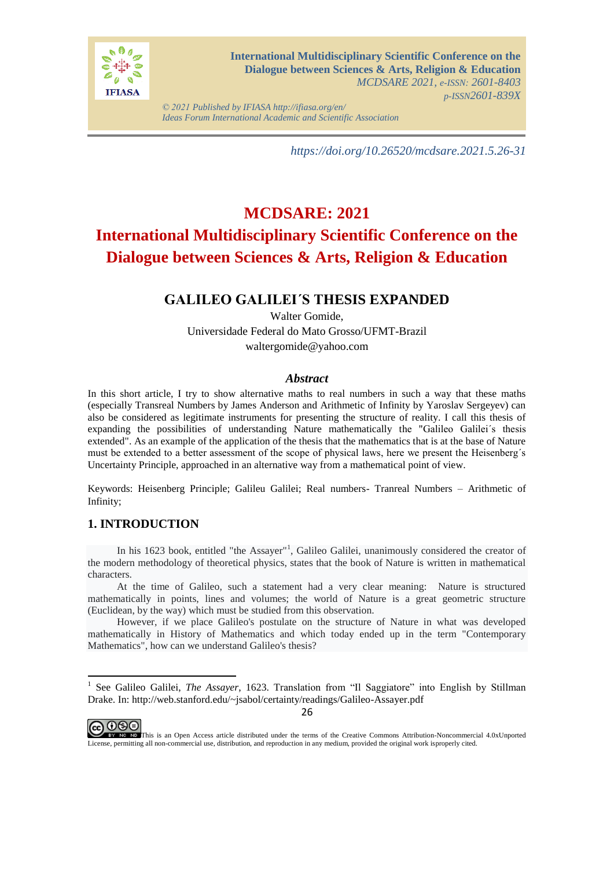

*© 2021 Published by IFIASA http://ifiasa.org/en/ Ideas Forum International Academic and Scientific Association*

*https://doi.org/10.26520/mcdsare.2021.5.26-31*

# **MCDSARE: 2021 International Multidisciplinary Scientific Conference on the Dialogue between Sciences & Arts, Religion & Education**

# **GALILEO GALILEI´S THESIS EXPANDED**

Walter Gomide, Universidade Federal do Mato Grosso/UFMT-Brazil waltergomide@yahoo.com

### *Abstract*

In this short article, I try to show alternative maths to real numbers in such a way that these maths (especially Transreal Numbers by James Anderson and Arithmetic of Infinity by Yaroslav Sergeyev) can also be considered as legitimate instruments for presenting the structure of reality. I call this thesis of expanding the possibilities of understanding Nature mathematically the "Galileo Galilei´s thesis extended". As an example of the application of the thesis that the mathematics that is at the base of Nature must be extended to a better assessment of the scope of physical laws, here we present the Heisenberg´s Uncertainty Principle, approached in an alternative way from a mathematical point of view.

Keywords: Heisenberg Principle; Galileu Galilei; Real numbers- Tranreal Numbers – Arithmetic of Infinity;

## **1. INTRODUCTION**

In his 1623 book, entitled "the Assayer"<sup>1</sup>, Galileo Galilei, unanimously considered the creator of the modern methodology of theoretical physics, states that the book of Nature is written in mathematical characters.

At the time of Galileo, such a statement had a very clear meaning: Nature is structured mathematically in points, lines and volumes; the world of Nature is a great geometric structure (Euclidean, by the way) which must be studied from this observation.

However, if we place Galileo's postulate on the structure of Nature in what was developed mathematically in History of Mathematics and which today ended up in the term "Contemporary Mathematics", how can we understand Galileo's thesis?

@ 0®

 1 See Galileo Galilei, *The Assayer*, 1623. Translation from "Il Saggiatore" into English by Stillman Drake. In:<http://web.stanford.edu/~jsabol/certainty/readings/Galileo-Assayer.pdf>

This is an Open Access article distributed under the terms of the Creative Commons Attribution-Noncommercial 4.0xUnported License, permitting all non-commercial use, distribution, and reproduction in any medium, provided the original work isproperly cited.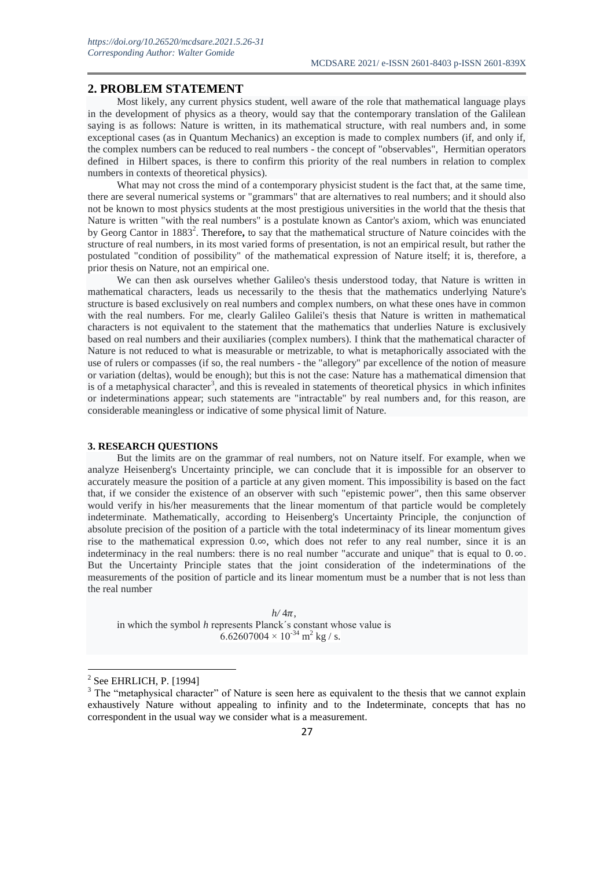#### **2. PROBLEM STATEMENT**

Most likely, any current physics student, well aware of the role that mathematical language plays in the development of physics as a theory, would say that the contemporary translation of the Galilean saying is as follows: Nature is written, in its mathematical structure, with real numbers and, in some exceptional cases (as in Quantum Mechanics) an exception is made to complex numbers (if, and only if, the complex numbers can be reduced to real numbers - the concept of "observables", Hermitian operators defined in Hilbert spaces, is there to confirm this priority of the real numbers in relation to complex numbers in contexts of theoretical physics).

What may not cross the mind of a contemporary physicist student is the fact that, at the same time, there are several numerical systems or "grammars" that are alternatives to real numbers; and it should also not be known to most physics students at the most prestigious universities in the world that the thesis that Nature is written "with the real numbers" is a postulate known as Cantor's axiom, which was enunciated by Georg Cantor in 1883<sup>2</sup>. Therefore, to say that the mathematical structure of Nature coincides with the structure of real numbers, in its most varied forms of presentation, is not an empirical result, but rather the postulated "condition of possibility" of the mathematical expression of Nature itself; it is, therefore, a prior thesis on Nature, not an empirical one.

We can then ask ourselves whether Galileo's thesis understood today, that Nature is written in mathematical characters, leads us necessarily to the thesis that the mathematics underlying Nature's structure is based exclusively on real numbers and complex numbers, on what these ones have in common with the real numbers. For me, clearly Galileo Galilei's thesis that Nature is written in mathematical characters is not equivalent to the statement that the mathematics that underlies Nature is exclusively based on real numbers and their auxiliaries (complex numbers). I think that the mathematical character of Nature is not reduced to what is measurable or metrizable, to what is metaphorically associated with the use of rulers or compasses (if so, the real numbers - the "allegory" par excellence of the notion of measure or variation (deltas), would be enough); but this is not the case: Nature has a mathematical dimension that is of a metaphysical character<sup>3</sup>, and this is revealed in statements of theoretical physics in which infinites or indeterminations appear; such statements are "intractable" by real numbers and, for this reason, are considerable meaningless or indicative of some physical limit of Nature.

#### **3. RESEARCH QUESTIONS**

But the limits are on the grammar of real numbers, not on Nature itself. For example, when we analyze Heisenberg's Uncertainty principle, we can conclude that it is impossible for an observer to accurately measure the position of a particle at any given moment. This impossibility is based on the fact that, if we consider the existence of an observer with such "epistemic power", then this same observer would verify in his/her measurements that the linear momentum of that particle would be completely indeterminate. Mathematically, according to Heisenberg's Uncertainty Principle, the conjunction of absolute precision of the position of a particle with the total indeterminacy of its linear momentum gives rise to the mathematical expression  $0.\infty$ , which does not refer to any real number, since it is an indeterminacy in the real numbers: there is no real number "accurate and unique" that is equal to  $0, \infty$ . But the Uncertainty Principle states that the joint consideration of the indeterminations of the measurements of the position of particle and its linear momentum must be a number that is not less than the real number

 $h/4\pi$ , in which the symbol *h* represents Planck´s constant whose value is  $6.62607004 \times 10^{-34}$  m<sup>2</sup> kg / s.

 $\overline{a}$ 

 $2$  See EHRLICH, P. [1994]

 $3$  The "metaphysical character" of Nature is seen here as equivalent to the thesis that we cannot explain exhaustively Nature without appealing to infinity and to the Indeterminate, concepts that has no correspondent in the usual way we consider what is a measurement.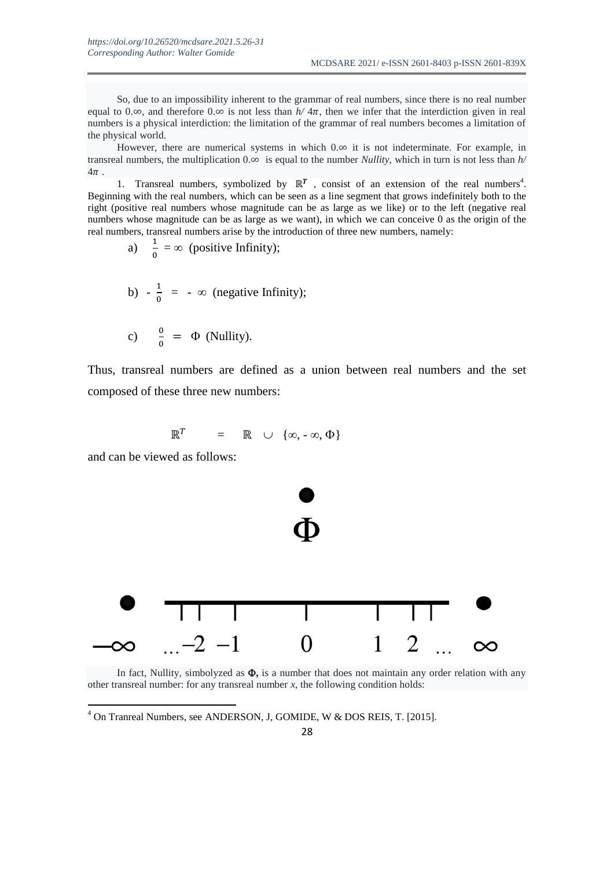So, due to an impossibility inherent to the grammar of real numbers, since there is no real number equal to  $0.\infty$ , and therefore  $0.\infty$  is not less than  $h/4\pi$ , then we infer that the interdiction given in real numbers is a physical interdiction: the limitation of the grammar of real numbers becomes a limitation of the physical world.

However, there are numerical systems in which  $0.\infty$  it is not indeterminate. For example, in transreal numbers, the multiplication  $0.\infty$  is equal to the number *Nullity*, which in turn is not less than  $h/$  $4\pi$ 

1. Transreal numbers, symbolized by  $\mathbb{R}^T$ , consist of an extension of the real numbers<sup>4</sup>. Beginning with the real numbers, which can be seen as a line segment that grows indefinitely both to the right (positive real numbers whose magnitude can be as large as we like) or to the left (negative real numbers whose magnitude can be as large as we want), in which we can conceive 0 as the origin of the real numbers, transreal numbers arise by the introduction of three new numbers, namely:

a) 
$$
\frac{1}{0} = \infty
$$
 (positive Infinity);

b) 
$$
-\frac{1}{0} = -\infty
$$
 (negative Infinity);

c) 
$$
\frac{0}{0} = \Phi
$$
 (Nullity).

Thus, transreal numbers are defined as a union between real numbers and the set composed of these three new numbers:

$$
\mathbb{R}^T = \mathbb{R} \cup \{ \infty, -\infty, \Phi \}
$$

and can be viewed as follows:

1



In fact, Nullity, simbolyzed as  $\Phi$ , is a number that does not maintain any order relation with any other transreal number: for any transreal number  $x$ , the following condition holds:

<sup>4</sup> On Tranreal Numbers, see ANDERSON, J, GOMIDE, W & DOS REIS, T. [2015].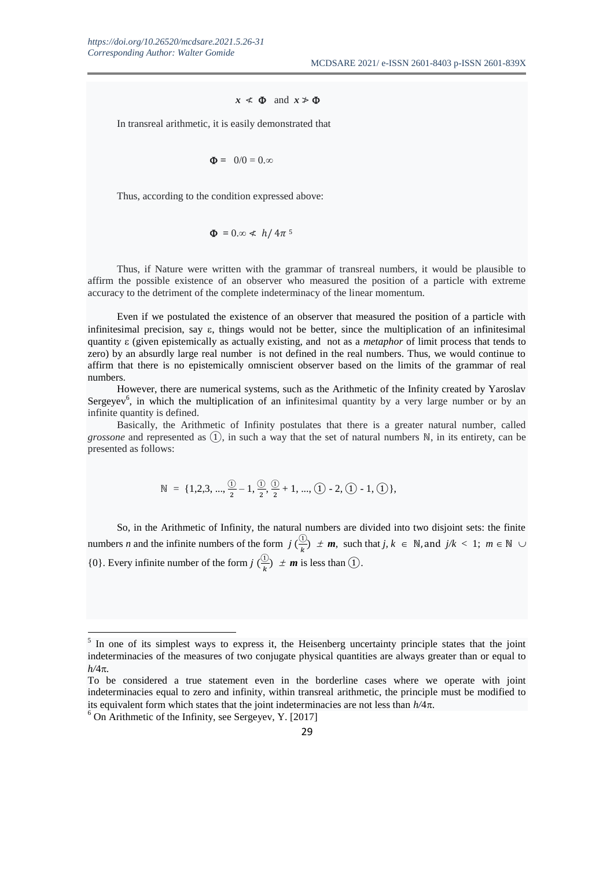#### $x \leq \Phi$  and  $x \geq \Phi$

In transreal arithmetic, it is easily demonstrated that

$$
\Phi = 0.00 = 0.00
$$

Thus, according to the condition expressed above:

$$
\Phi = 0 \approx \frac{k}{4} h / 4\pi^5
$$

Thus, if Nature were written with the grammar of transreal numbers, it would be plausible to affirm the possible existence of an observer who measured the position of a particle with extreme accuracy to the detriment of the complete indeterminacy of the linear momentum.

Even if we postulated the existence of an observer that measured the position of a particle with infinitesimal precision, say  $\varepsilon$ , things would not be better, since the multiplication of an infinitesimal quantity (given epistemically as actually existing, and not as a *metaphor* of limit process that tends to zero) by an absurdly large real number is not defined in the real numbers. Thus, we would continue to affirm that there is no epistemically omniscient observer based on the limits of the grammar of real numbers.

However, there are numerical systems, such as the Arithmetic of the Infinity created by Yaroslav Sergeyev<sup>6</sup>, in which the multiplication of an infinitesimal quantity by a very large number or by an infinite quantity is defined.

Basically, the Arithmetic of Infinity postulates that there is a greater natural number, called *grossone* and represented as  $(1)$ , in such a way that the set of natural numbers  $\mathbb{N}$ , in its entirety, can be presented as follows:

$$
\mathbb{N} = \{1, 2, 3, ..., \frac{\textcircled{\textit{i}}}{2} - 1, \frac{\textcircled{\textit{i}}}{2}, \frac{\textcircled{\textit{i}}}{2} + 1, ..., \textcircled{\textit{i}} - 2, \textcircled{\textit{i}} - 1, \textcircled{\textit{i}}\},
$$

So, in the Arithmetic of Infinity, the natural numbers are divided into two disjoint sets: the finite numbers *n* and the infinite numbers of the form  $j\left(\frac{0}{2}\right)$  $\frac{dy}{dx}$   $\neq$  *m*, such that *j*,  $k \in \mathbb{N}$ , and  $j/k < 1$ ;  $m \in \mathbb{N} \cup \{k\}$  $\{0\}$ . Every infinite number of the form  $j\left(\frac{0}{b}\right)$  $\frac{dy}{dx}$   $\neq$  *m* is less than (1).

 $\overline{a}$ 

<sup>&</sup>lt;sup>5</sup> In one of its simplest ways to express it, the Heisenberg uncertainty principle states that the joint indeterminacies of the measures of two conjugate physical quantities are always greater than or equal to  $h/4\pi$ .

To be considered a true statement even in the borderline cases where we operate with joint indeterminacies equal to zero and infinity, within transreal arithmetic, the principle must be modified to its equivalent form which states that the joint indeterminacies are not less than  $h/4\pi$ .

 $6$  On Arithmetic of the Infinity, see Sergeyev, Y. [2017]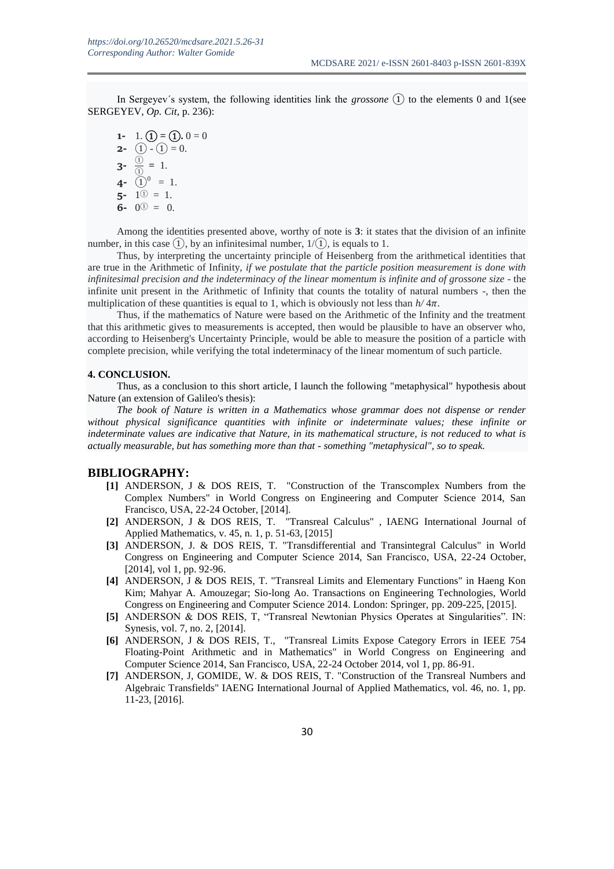In Sergeyev´s system, the following identities link the *grossone* ① to the elements 0 and 1(see SERGEYEV, *Op. Cit*, p. 236):

**1-** 1.  $(\mathbf{1}) = (\mathbf{1}) \cdot \mathbf{0} = 0$ **2-**  $(1) - (1) = 0.$  $3 - \frac{1}{2}$  $\frac{0}{0} = 1$ . **4-**  $\textcircled{1}^0 = 1$ .  $5 - 1^{\circ} = 1$ . **6-**  $0^{\circ}$  = 0.

Among the identities presented above, worthy of note is **3**: it states that the division of an infinite number, in this case  $(1)$ , by an infinitesimal number,  $1/(1)$ , is equals to 1.

Thus, by interpreting the uncertainty principle of Heisenberg from the arithmetical identities that are true in the Arithmetic of Infinity, *if we postulate that the particle position measurement is done with infinitesimal precision and the indeterminacy of the linear momentum is infinite and of grossone size* - the infinite unit present in the Arithmetic of Infinity that counts the totality of natural numbers -, then the multiplication of these quantities is equal to 1, which is obviously not less than  $h/4\pi$ .

Thus, if the mathematics of Nature were based on the Arithmetic of the Infinity and the treatment that this arithmetic gives to measurements is accepted, then would be plausible to have an observer who, according to Heisenberg's Uncertainty Principle, would be able to measure the position of a particle with complete precision, while verifying the total indeterminacy of the linear momentum of such particle.

#### **4. CONCLUSION.**

Thus, as a conclusion to this short article, I launch the following "metaphysical" hypothesis about Nature (an extension of Galileo's thesis):

*The book of Nature is written in a Mathematics whose grammar does not dispense or render without physical significance quantities with infinite or indeterminate values; these infinite or indeterminate values are indicative that Nature, in its mathematical structure, is not reduced to what is actually measurable, but has something more than that - something "metaphysical", so to speak.*

#### **BIBLIOGRAPHY:**

- **[1]** ANDERSON, J & DOS REIS, T. "Construction of the Transcomplex Numbers from the Complex Numbers" in World Congress on Engineering and Computer Science 2014, San Francisco, USA, 22-24 October, [2014].
- **[2]** ANDERSON, J & DOS REIS, T. "Transreal Calculus" , IAENG International Journal of Applied Mathematics, v. 45, n. 1, p. 51-63, [2015]
- **[3]** ANDERSON, J. & DOS REIS, T. "Transdifferential and Transintegral Calculus" in World Congress on Engineering and Computer Science 2014, San Francisco, USA, 22-24 October, [2014], vol 1, pp. 92-96.
- **[4]** ANDERSON, J & DOS REIS, T. "Transreal Limits and Elementary Functions" in Haeng Kon Kim; Mahyar A. Amouzegar; Sio-long Ao. Transactions on Engineering Technologies, World Congress on Engineering and Computer Science 2014. London: Springer, pp. 209-225, [2015].
- **[5]** ANDERSON & DOS REIS, T, "Transreal Newtonian Physics Operates at Singularities". IN: Synesis, vol. 7, no. 2, [2014].
- **[6]** ANDERSON, J & DOS REIS, T., "Transreal Limits Expose Category Errors in IEEE 754 Floating-Point Arithmetic and in Mathematics" in World Congress on Engineering and Computer Science 2014, San Francisco, USA, 22-24 October 2014, vol 1, pp. 86-91.
- **[7]** ANDERSON, J, GOMIDE, W. & DOS REIS, T. "Construction of the Transreal Numbers and Algebraic Transfields" IAENG International Journal of Applied Mathematics, vol. 46, no. 1, pp. 11-23, [2016].